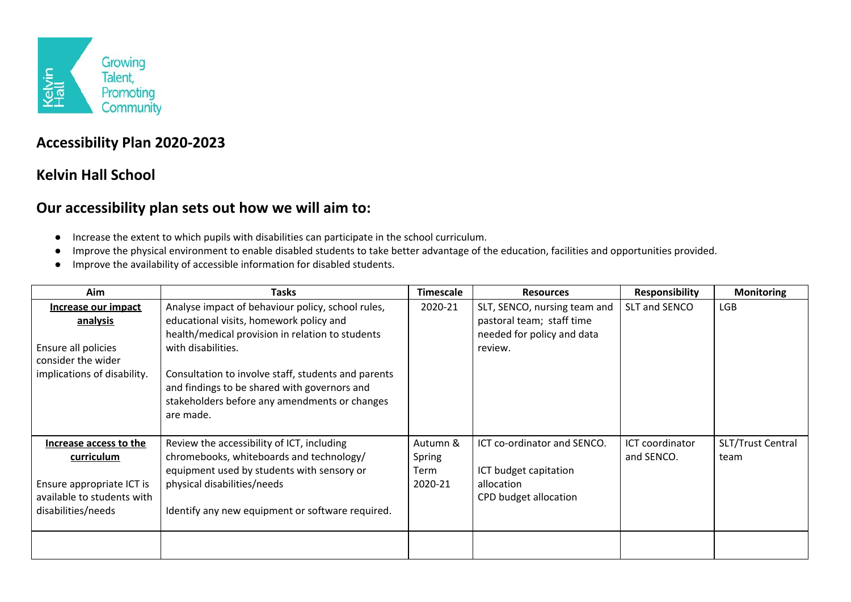

## **Accessibility Plan 2020-2023**

## **Kelvin Hall School**

## **Our accessibility plan sets out how we will aim to:**

- Increase the extent to which pupils with disabilities can participate in the school curriculum.
- Improve the physical environment to enable disabled students to take better advantage of the education, facilities and opportunities provided.
- Improve the availability of accessible information for disabled students.

| Aim                                                                                                                   | Tasks                                                                                                                                                                                                                                                                                                                                       | <b>Timescale</b>                      | <b>Resources</b>                                                                                   | <b>Responsibility</b>         | <b>Monitoring</b>         |
|-----------------------------------------------------------------------------------------------------------------------|---------------------------------------------------------------------------------------------------------------------------------------------------------------------------------------------------------------------------------------------------------------------------------------------------------------------------------------------|---------------------------------------|----------------------------------------------------------------------------------------------------|-------------------------------|---------------------------|
| Increase our impact<br>analysis<br>Ensure all policies<br>consider the wider<br>implications of disability.           | Analyse impact of behaviour policy, school rules,<br>educational visits, homework policy and<br>health/medical provision in relation to students<br>with disabilities.<br>Consultation to involve staff, students and parents<br>and findings to be shared with governors and<br>stakeholders before any amendments or changes<br>are made. | 2020-21                               | SLT, SENCO, nursing team and<br>pastoral team; staff time<br>needed for policy and data<br>review. | SLT and SENCO                 | <b>LGB</b>                |
| Increase access to the<br>curriculum<br>Ensure appropriate ICT is<br>available to students with<br>disabilities/needs | Review the accessibility of ICT, including<br>chromebooks, whiteboards and technology/<br>equipment used by students with sensory or<br>physical disabilities/needs<br>Identify any new equipment or software required.                                                                                                                     | Autumn &<br>Spring<br>Term<br>2020-21 | ICT co-ordinator and SENCO.<br>ICT budget capitation<br>allocation<br>CPD budget allocation        | ICT coordinator<br>and SENCO. | SLT/Trust Central<br>team |
|                                                                                                                       |                                                                                                                                                                                                                                                                                                                                             |                                       |                                                                                                    |                               |                           |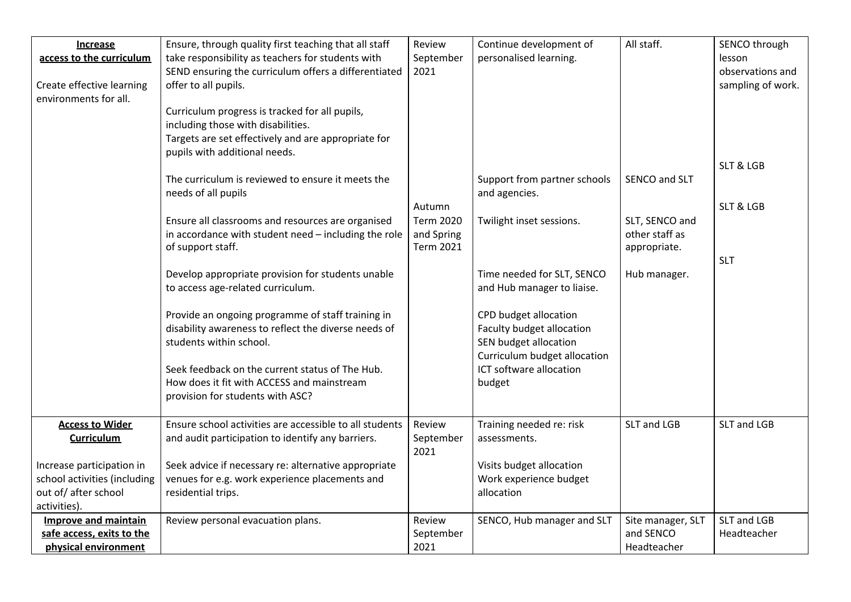| <b>Increase</b>                                           | Ensure, through quality first teaching that all staff                                                  | Review           | Continue development of                            | All staff.        | SENCO through        |
|-----------------------------------------------------------|--------------------------------------------------------------------------------------------------------|------------------|----------------------------------------------------|-------------------|----------------------|
| access to the curriculum                                  | take responsibility as teachers for students with                                                      | September        | personalised learning.                             |                   | lesson               |
|                                                           | SEND ensuring the curriculum offers a differentiated                                                   | 2021             |                                                    |                   | observations and     |
| Create effective learning                                 | offer to all pupils.                                                                                   |                  |                                                    |                   | sampling of work.    |
| environments for all.                                     |                                                                                                        |                  |                                                    |                   |                      |
|                                                           | Curriculum progress is tracked for all pupils,                                                         |                  |                                                    |                   |                      |
|                                                           | including those with disabilities.                                                                     |                  |                                                    |                   |                      |
|                                                           | Targets are set effectively and are appropriate for                                                    |                  |                                                    |                   |                      |
|                                                           | pupils with additional needs.                                                                          |                  |                                                    |                   |                      |
|                                                           |                                                                                                        |                  |                                                    |                   | <b>SLT &amp; LGB</b> |
|                                                           | The curriculum is reviewed to ensure it meets the                                                      |                  | Support from partner schools                       | SENCO and SLT     |                      |
|                                                           | needs of all pupils                                                                                    |                  | and agencies.                                      |                   |                      |
|                                                           |                                                                                                        | Autumn           |                                                    |                   | <b>SLT &amp; LGB</b> |
|                                                           | Ensure all classrooms and resources are organised                                                      | <b>Term 2020</b> | Twilight inset sessions.                           | SLT, SENCO and    |                      |
|                                                           | in accordance with student need - including the role                                                   | and Spring       |                                                    | other staff as    |                      |
|                                                           | of support staff.                                                                                      | <b>Term 2021</b> |                                                    | appropriate.      |                      |
|                                                           |                                                                                                        |                  |                                                    |                   | <b>SLT</b>           |
|                                                           | Develop appropriate provision for students unable                                                      |                  | Time needed for SLT, SENCO                         | Hub manager.      |                      |
|                                                           | to access age-related curriculum.                                                                      |                  | and Hub manager to liaise.                         |                   |                      |
|                                                           |                                                                                                        |                  |                                                    |                   |                      |
|                                                           | Provide an ongoing programme of staff training in                                                      |                  | CPD budget allocation                              |                   |                      |
|                                                           | disability awareness to reflect the diverse needs of                                                   |                  | Faculty budget allocation                          |                   |                      |
|                                                           | students within school.                                                                                |                  | SEN budget allocation                              |                   |                      |
|                                                           |                                                                                                        |                  | Curriculum budget allocation                       |                   |                      |
|                                                           | Seek feedback on the current status of The Hub.                                                        |                  | ICT software allocation                            |                   |                      |
|                                                           | How does it fit with ACCESS and mainstream                                                             |                  | budget                                             |                   |                      |
|                                                           | provision for students with ASC?                                                                       |                  |                                                    |                   |                      |
|                                                           | Ensure school activities are accessible to all students                                                | Review           |                                                    | SLT and LGB       | SLT and LGB          |
| <b>Access to Wider</b>                                    |                                                                                                        |                  | Training needed re: risk                           |                   |                      |
| <b>Curriculum</b>                                         | and audit participation to identify any barriers.                                                      | September        | assessments.                                       |                   |                      |
|                                                           |                                                                                                        | 2021             |                                                    |                   |                      |
| Increase participation in<br>school activities (including | Seek advice if necessary re: alternative appropriate<br>venues for e.g. work experience placements and |                  | Visits budget allocation<br>Work experience budget |                   |                      |
| out of/after school                                       | residential trips.                                                                                     |                  | allocation                                         |                   |                      |
| activities).                                              |                                                                                                        |                  |                                                    |                   |                      |
| <b>Improve and maintain</b>                               | Review personal evacuation plans.                                                                      | Review           | SENCO, Hub manager and SLT                         | Site manager, SLT | SLT and LGB          |
| safe access, exits to the                                 |                                                                                                        | September        |                                                    | and SENCO         | Headteacher          |
| physical environment                                      |                                                                                                        | 2021             |                                                    | Headteacher       |                      |
|                                                           |                                                                                                        |                  |                                                    |                   |                      |